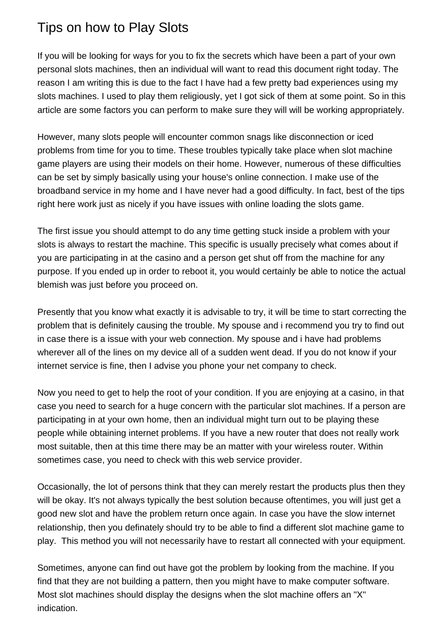## Tips on how to Play Slots

If you will be looking for ways for you to fix the secrets which have been a part of your own personal slots machines, then an individual will want to read this document right today. The reason I am writing this is due to the fact I have had a few pretty bad experiences using my slots machines. I used to play them religiously, yet I got sick of them at some point. So in this article are some factors you can perform to make sure they will will be working appropriately.

However, many slots people will encounter common snags like disconnection or iced problems from time for you to time. These troubles typically take place when slot machine game players are using their models on their home. However, numerous of these difficulties can be set by simply basically using your house's online connection. I make use of the broadband service in my home and I have never had a good difficulty. In fact, best of the tips right here work just as nicely if you have issues with online loading the slots game.

The first issue you should attempt to do any time getting stuck inside a problem with your slots is always to restart the machine. This specific is usually precisely what comes about if you are participating in at the casino and a person get shut off from the machine for any purpose. If you ended up in order to reboot it, you would certainly be able to notice the actual blemish was just before you proceed on.

Presently that you know what exactly it is advisable to try, it will be time to start correcting the problem that is definitely causing the trouble. My spouse and i recommend you try to find out in case there is a issue with your web connection. My spouse and i have had problems wherever all of the lines on my device all of a sudden went dead. If you do not know if your internet service is fine, then I advise you phone your net company to check.

Now you need to get to help the root of your condition. If you are enjoying at a casino, in that case you need to search for a huge concern with the particular slot machines. If a person are participating in at your own home, then an individual might turn out to be playing these people while obtaining internet problems. If you have a new router that does not really work most suitable, then at this time there may be an matter with your wireless router. Within sometimes case, you need to check with this web service provider.

Occasionally, the lot of persons think that they can merely restart the products plus then they will be okay. It's not always typically the best solution because oftentimes, you will just get a good new slot and have the problem return once again. In case you have the slow internet relationship, then you definately should try to be able to find a different slot machine game to play. This method you will not necessarily have to restart all connected with your equipment.

Sometimes, anyone can find out have got the problem by looking from the machine. If you find that they are not building a pattern, then you might have to make computer software. Most slot machines should display the designs when the slot machine offers an "X" indication.